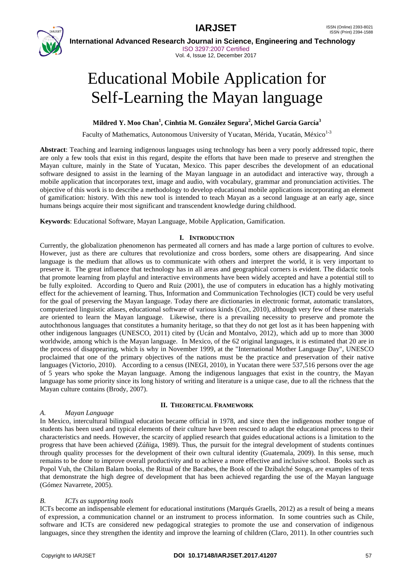



 **International Advanced Research Journal in Science, Engineering and Technology** ISO 3297:2007 Certified Vol. 4, Issue 12, December 2017

# Educational Mobile Application for Self-Learning the Mayan language

### **Mildred Y. Moo Chan<sup>1</sup> , Cinhtia M. González Segura<sup>2</sup> , Michel García García<sup>3</sup>**

Faculty of Mathematics, Autonomous University of Yucatan, Mérida, Yucatán, México<sup>1-3</sup>

**Abstract**: Teaching and learning indigenous languages using technology has been a very poorly addressed topic, there are only a few tools that exist in this regard, despite the efforts that have been made to preserve and strengthen the Mayan culture, mainly in the State of Yucatan, Mexico. This paper describes the development of an educational software designed to assist in the learning of the Mayan language in an autodidact and interactive way, through a mobile application that incorporates text, image and audio, with vocabulary, grammar and pronunciation activities. The objective of this work is to describe a methodology to develop educational mobile applications incorporating an element of gamification: history. With this new tool is intended to teach Mayan as a second language at an early age, since humans beings acquire their most significant and transcendent knowledge during childhood.

**Keywords**: Educational Software, Mayan Language, Mobile Application, Gamification.

#### **I. INTRODUCTION**

Currently, the globalization phenomenon has permeated all corners and has made a large portion of cultures to evolve. However, just as there are cultures that revolutionize and cross borders, some others are disappearing. And since language is the medium that allows us to communicate with others and interpret the world, it is very important to preserve it. The great influence that technology has in all areas and geographical corners is evident. The didactic tools that promote learning from playful and interactive environments have been widely accepted and have a potential still to be fully exploited. According to Quero and Ruiz (2001), the use of computers in education has a highly motivating effect for the achievement of learning. Thus, Information and Communication Technologies (ICT) could be very useful for the goal of preserving the Mayan language. Today there are dictionaries in electronic format, automatic translators, computerized linguistic atlases, educational software of various kinds (Cox, 2010), although very few of these materials are oriented to learn the Mayan language. Likewise, there is a prevailing necessity to preserve and promote the autochthonous languages that constitutes a humanity heritage, so that they do not get lost as it has been happening with other indigenous languages (UNESCO, 2011) cited by (Ucán and Montalvo, 2012), which add up to more than 3000 worldwide, among which is the Mayan language. In Mexico, of the 62 original languages, it is estimated that 20 are in the process of disappearing, which is why in November 1999, at the "International Mother Language Day", UNESCO proclaimed that one of the primary objectives of the nations must be the practice and preservation of their native languages (Victorio, 2010). According to a census (INEGI, 2010), in Yucatan there were 537,516 persons over the age of 5 years who spoke the Mayan language. Among the indigenous languages that exist in the country, the Mayan language has some priority since its long history of writing and literature is a unique case, due to all the richness that the Mayan culture contains (Brody, 2007).

#### **II. THEORETICAL FRAMEWORK**

#### *A. Mayan Language*

In Mexico, intercultural bilingual education became official in 1978, and since then the indigenous mother tongue of students has been used and typical elements of their culture have been rescued to adapt the educational process to their characteristics and needs. However, the scarcity of applied research that guides educational actions is a limitation to the progress that have been achieved (Zúñiga, 1989). Thus, the pursuit for the integral development of students continues through quality processes for the development of their own cultural identity (Guatemala, 2009). In this sense, much remains to be done to improve overall productivity and to achieve a more effective and inclusive school. Books such as Popol Vuh, the Chilam Balam books, the Ritual of the Bacabes, the Book of the Dzibalché Songs, are examples of texts that demonstrate the high degree of development that has been achieved regarding the use of the Mayan language (Gómez Navarrete, 2005).

#### *B. ICTs as supporting tools*

ICTs become an indispensable element for educational institutions (Marqués Graells, 2012) as a result of being a means of expression, a communication channel or an instrument to process information. In some countries such as Chile, software and ICTs are considered new pedagogical strategies to promote the use and conservation of indigenous languages, since they strengthen the identity and improve the learning of children (Claro, 2011). In other countries such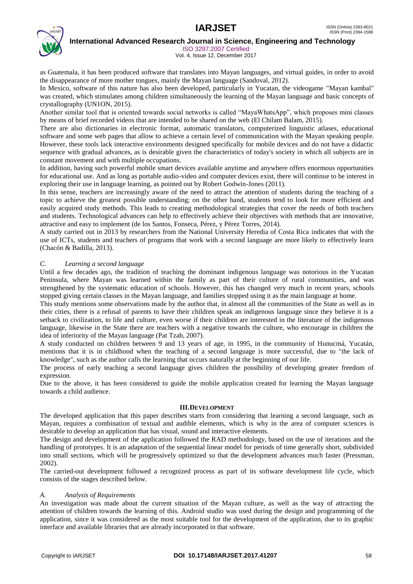## **IARJSET** ISSN (Online) 2393-8021



 **International Advanced Research Journal in Science, Engineering and Technology**

ISO 3297:2007 Certified

Vol. 4, Issue 12, December 2017

as Guatemala, it has been produced software that translates into Mayan languages, and virtual guides, in order to avoid the disappearance of more mother tongues, mainly the Mayan language (Sandoval, 2012).

In Mexico, software of this nature has also been developed, particularly in Yucatan, the videogame "Mayan kambal" was created, which stimulates among children simultaneously the learning of the Mayan language and basic concepts of crystallography (UN1ON, 2015).

Another similar tool that is oriented towards social networks is called "MayaWhatsApp", which proposes mini classes by means of brief recorded videos that are intended to be shared on the web (El Chilam Balam, 2015).

There are also dictionaries in electronic format, automatic translators, computerized linguistic atlases, educational software and some web pages that allow to achieve a certain level of communication with the Mayan speaking people. However, these tools lack interactive environments designed specifically for mobile devices and do not have a didactic sequence with gradual advances, as is desirable given the characteristics of today's society in which all subjects are in constant movement and with multiple occupations.

In addition, having such powerful mobile smart devices available anytime and anywhere offers enormous opportunities for educational use. And as long as portable audio-video and computer devices exist, there will continue to be interest in exploring their use in language learning, as pointed out by Robert Godwin-Jones (2011).

In this sense, teachers are increasingly aware of the need to attract the attention of students during the teaching of a topic to achieve the greatest possible understanding; on the other hand, students tend to look for more efficient and easily acquired study methods. This leads to creating methodological strategies that cover the needs of both teachers and students. Technological advances can help to effectively achieve their objectives with methods that are innovative, attractive and easy to implement (de los Santos, Fonseca, Pérez, y Pérez Torres, 2014).

A study carried out in 2013 by researchers from the National University Heredia of Costa Rica indicates that with the use of ICTs, students and teachers of programs that work with a second language are more likely to effectively learn (Chacón & Badilla, 2013).

#### *C. Learning a second language*

Until a few decades ago, the tradition of teaching the dominant indigenous language was notorious in the Yucatan Peninsula, where Mayan was learned within the family as part of their culture of rural communities, and was strengthened by the systematic education of schools. However, this has changed very much in recent years, schools stopped giving certain classes in the Mayan language, and families stopped using it as the main language at home.

This study mentions some observations made by the author that, in almost all the communities of the State as well as in their cities, there is a refusal of parents to have their children speak an indigenous language since they believe it is a setback to civilization, to life and culture, even worse if their children are interested in the literature of the indigenous language, likewise in the State there are teachers with a negative towards the culture, who encourage in children the idea of inferiority of the Mayan language (Pat Tzab, 2007).

A study conducted on children between 9 and 13 years of age, in 1995, in the community of Hunucmá, Yucatán, mentions that it is in childhood when the teaching of a second language is more successful, due to "the lack of knowledge", such as the author calls the learning that occurs naturally at the beginning of our life.

The process of early teaching a second language gives children the possibility of developing greater freedom of expression.

Due to the above, it has been considered to guide the mobile application created for learning the Mayan language towards a child audience.

#### **III.DEVELOPMENT**

The developed application that this paper describes starts from considering that learning a second language, such as Mayan, requires a combination of textual and audible elements, which is why in the area of computer sciences is desirable to develop an application that has visual, sound and interactive elements.

The design and development of the application followed the RAD methodology, based on the use of iterations and the handling of prototypes. It is an adaptation of the sequential linear model for periods of time generally short, subdivided into small sections, which will be progressively optimized so that the development advances much faster (Pressman, 2002).

The carried-out development followed a recognized process as part of its software development life cycle, which consists of the stages described below.

#### *A. Analysis of Requirements*

An investigation was made about the current situation of the Mayan culture, as well as the way of attracting the attention of children towards the learning of this. Android studio was used during the design and programming of the application, since it was considered as the most suitable tool for the development of the application, due to its graphic interface and available libraries that are already incorporated in that software.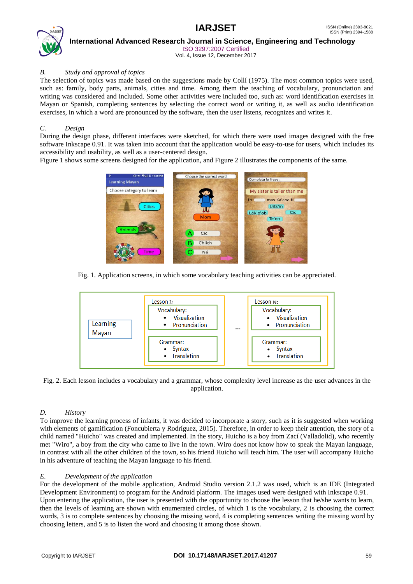

 **International Advanced Research Journal in Science, Engineering and Technology** ISO 3297:2007 Certified

Vol. 4, Issue 12, December 2017

#### *B. Study and approval of topics*

The selection of topics was made based on the suggestions made by Collí (1975). The most common topics were used, such as: family, body parts, animals, cities and time. Among them the teaching of vocabulary, pronunciation and writing was considered and included. Some other activities were included too, such as: word identification exercises in Mayan or Spanish, completing sentences by selecting the correct word or writing it, as well as audio identification exercises, in which a word are pronounced by the software, then the user listens, recognizes and writes it.

#### *C. Design*

During the design phase, different interfaces were sketched, for which there were used images designed with the free software Inkscape 0.91. It was taken into account that the application would be easy-to-use for users, which includes its accessibility and usability, as well as a user-centered design.

Figure 1 shows some screens designed for the application, and Figure 2 illustrates the components of the same.



Fig. 1. Application screens, in which some vocabulary teaching activities can be appreciated.



Fig. 2. Each lesson includes a vocabulary and a grammar, whose complexity level increase as the user advances in the application.

### *D. History*

To improve the learning process of infants, it was decided to incorporate a story, such as it is suggested when working with elements of gamification (Foncubierta y Rodríguez, 2015). Therefore, in order to keep their attention, the story of a child named "Huicho" was created and implemented. In the story, Huicho is a boy from Zací (Valladolid), who recently met "Wiro", a boy from the city who came to live in the town. Wiro does not know how to speak the Mayan language, in contrast with all the other children of the town, so his friend Huicho will teach him. The user will accompany Huicho in his adventure of teaching the Mayan language to his friend.

### *E. Development of the application*

For the development of the mobile application, Android Studio version 2.1.2 was used, which is an IDE (Integrated Development Environment) to program for the Android platform. The images used were designed with Inkscape 0.91. Upon entering the application, the user is presented with the opportunity to choose the lesson that he/she wants to learn, then the levels of learning are shown with enumerated circles, of which 1 is the vocabulary, 2 is choosing the correct words, 3 is to complete sentences by choosing the missing word, 4 is completing sentences writing the missing word by choosing letters, and 5 is to listen the word and choosing it among those shown.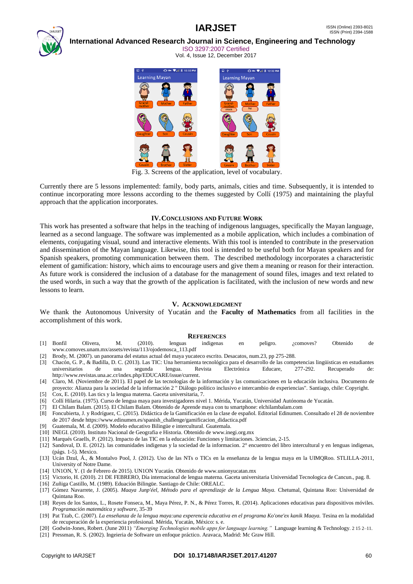

#### **International Advanced Research Journal in Science, Engineering and Technology** ISO 3297:2007 Certified

Vol. 4, Issue 12, December 2017



Fig. 3. Screens of the application, level of vocabulary.

Currently there are 5 lessons implemented: family, body parts, animals, cities and time. Subsequently, it is intended to continue incorporating more lessons according to the themes suggested by Collí (1975) and maintaining the playful approach that the application incorporates.

#### **IV.CONCLUSIONS AND FUTURE WORK**

This work has presented a software that helps in the teaching of indigenous languages, specifically the Mayan language, learned as a second language. The software was implemented as a mobile application, which includes a combination of elements, conjugating visual, sound and interactive elements. With this tool is intended to contribute in the preservation and dissemination of the Mayan language. Likewise, this tool is intended to be useful both for Mayan speakers and for Spanish speakers, promoting communication between them. The described methodology incorporates a characteristic element of gamification: history, which aims to encourage users and give them a meaning or reason for their interaction. As future work is considered the inclusion of a database for the management of sound files, images and text related to the used words, in such a way that the growth of the application is facilitated, with the inclusion of new words and new lessons to learn.

#### **V. ACKNOWLEDGMENT**

We thank the Autonomous University of Yucatán and the **Faculty of Mathematics** from all facilities in the accomplishment of this work.

#### **REFERENCES**

- [1] Bonfil Olivera, M. (2010). lenguas indigenas en peligro. ¿comoves? Obtenido de www.comoves.unam.mx/assets/revista/113/ojodemosca\_113.pdf
- [2] Brody, M. (2007). un panorama del estatus actual del maya yucateco escrito. Desacatos, num.23, pp 275-288.
- [3] Chacón, G. P., & Badilla, D. C. (2013). Las TIC: Una herramienta tecnológica para el desarrollo de las competencias lingüisticas en estudiantes universitarios de una segunda lengua. Revista Electrónica Educare, 277-292. Recuperado de: http://www.revistas.una.ac.cr/index.php/EDUCARE/issue/current.
- [4] Claro, M. (Noviembre de 2011). El papel de las tecnologías de la información y las comunicaciones en la educación inclusiva. Documento de proyecto: Alianza para la sociedad de la información 2 " Diálogo político inclusivo e intercambio de experiencias". Santiago, chile: Copyright.
- [5] Cox, E. (2010). Las tics y la lengua materna. Gaceta universitaria, 7.
- [6] Collí Hilaria. (1975). Curso de lengua maya para investigadores nivel 1. Mérida, Yucatán, Universidad Autónoma de Yucatán.
- [7] El Chilam Balam. (2015). El Chilam Balam. Obtenido de Aprende maya con tu smartphone: elchilambalam.com
- [8] Foncubierta, J. y Rodríguez, C. (2015). Didáctica de la Gamificación en la clase de español. Editorial Edinumen. Consultado el 28 de noviembre de 2017 desde https://www.edinumen.es/spanish\_challenge/gamificacion\_didactica.pdf
- [9] Guatemala, M. d. (2009). Modelo educativo Bilingüe e intercultural. Guatemala.
- [10] INEGI. (2010). Instituto Nacional de Geografia e Historia. Obtenido de www.inegi.org.mx
- [11] Marqués Graells, P. (2012). Impacto de las TIC en la educación: Funciones y limitaciones. 3ciencias, 2-15.
- [12] Sandoval, D. E. (2012). las comunidades indigenas y la sociedad de la informacion. 2° encuentro del libro intercultural y en lenguas indigenas, (págs. 1-5). Mexico.
- [13] Ucán Dzul, Á., & Montalvo Pool, J. (2012). Uso de las NTs o TICs en la enseñanza de la lengua maya en la UIMQRoo. STLILLA-2011, University of Notre Dame.
- [14] UN1ON, Y. (1 de Febrero de 2015). UN1ON Yucatán. Obtenido de www.unionyucatan.mx
- [15] Victorio, H. (2010). 21 DE FEBRERO, Día internacional de lengua materna. Gaceta universitaria Universidad Tecnologica de Cancun., pag. 8.
- [16] Zuñiga Castillo, M. (1989). Eduación Bilingüe. Santiago de Chile: OREALC.
- [17] Gómez Navarrete, J. (2005). *Maaya Junp'éel, Método para el aprendizaje de la Lengua Maya.* Chetumal, Quintana Roo: Universidad de Quintana Roo.
- [18] Reyes de los Santos, L., Rosete Fonseca, M., Maya Pérez, P. N., & Pérez Torres, R. (2014). Aplicaciones educativas para dispositivos móviles. *Programación matemática y software*, 35-39
- [19] Pat Tzab, C. (2007). *La enseñanza de la lengua maya:una experencia educativa en el programa Ko'one'ex kanik Maaya.* Tesina en la modalidad de recuperación de la experiencia profesional. Mérida, Yucatán, México: s. e.
- [20] Godwin-Jones, Robert. (June 2011) *"Emerging Technologies mobile apps for language learning."* Language learning & Technology. 2 15 2–11. [21] Pressman, R. S. (2002). Ingeieria de Software un enfoque práctico. Aravaca, Madrid: Mc Graw Hill.